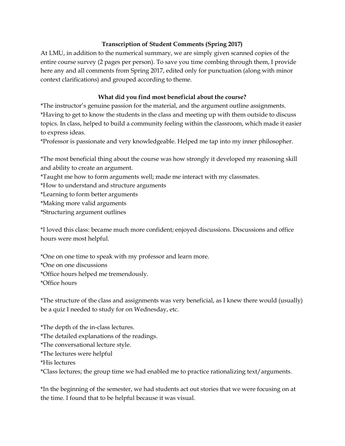## Transcription of Student Comments (Spring 2017)

At LMU, in addition to the numerical summary, we are simply given scanned copies of the entire course survey (2 pages per person). To save you time combing through them, I provide here any and all comments from Spring 2017, edited only for punctuation (along with minor context clarifications) and grouped according to theme.

## What did you find most beneficial about the course?

\*The instructor's genuine passion for the material, and the argument outline assignments. \*Having to get to know the students in the class and meeting up with them outside to discuss topics. In class, helped to build a community feeling within the classroom, which made it easier to express ideas.

\*Professor is passionate and very knowledgeable. Helped me tap into my inner philosopher.

\*The most beneficial thing about the course was how strongly it developed my reasoning skill and ability to create an argument.

\*Taught me how to form arguments well; made me interact with my classmates.

\*How to understand and structure arguments

\*Learning to form better arguments

\*Making more valid arguments

\*Structuring argument outlines

\*I loved this class: became much more confident; enjoyed discussions. Discussions and office hours were most helpful.

\*One on one time to speak with my professor and learn more. \*One on one discussions \*Office hours helped me tremendously. \*Office hours

\*The structure of the class and assignments was very beneficial, as I knew there would (usually) be a quiz I needed to study for on Wednesday, etc.

\*The depth of the in-class lectures.

\*The detailed explanations of the readings.

\*The conversational lecture style.

\*The lectures were helpful

\*His lectures

\*Class lectures; the group time we had enabled me to practice rationalizing text/arguments.

\*In the beginning of the semester, we had students act out stories that we were focusing on at the time. I found that to be helpful because it was visual.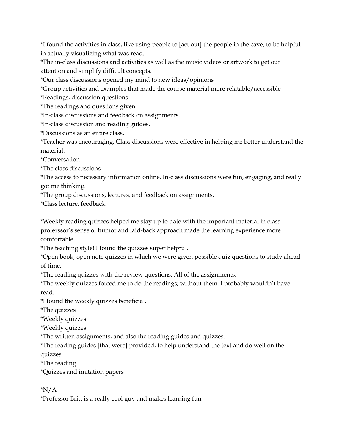\*I found the activities in class, like using people to [act out] the people in the cave, to be helpful in actually visualizing what was read.

\*The in-class discussions and activities as well as the music videos or artwork to get our attention and simplify difficult concepts.

\*Our class discussions opened my mind to new ideas/opinions

\*Group activities and examples that made the course material more relatable/accessible

\*Readings, discussion questions

\*The readings and questions given

\*In-class discussions and feedback on assignments.

\*In-class discussion and reading guides.

\*Discussions as an entire class.

\*Teacher was encouraging. Class discussions were effective in helping me better understand the material.

\*Conversation

\*The class discussions

\*The access to necessary information online. In-class discussions were fun, engaging, and really got me thinking.

\*The group discussions, lectures, and feedback on assignments.

\*Class lecture, feedback

\*Weekly reading quizzes helped me stay up to date with the important material in class – proferssor's sense of humor and laid-back approach made the learning experience more comfortable

\*The teaching style! I found the quizzes super helpful.

\*Open book, open note quizzes in which we were given possible quiz questions to study ahead of time.

\*The reading quizzes with the review questions. All of the assignments.

\*The weekly quizzes forced me to do the readings; without them, I probably wouldn't have read.

\*I found the weekly quizzes beneficial.

\*The quizzes

\*Weekly quizzes

\*Weekly quizzes

\*The written assignments, and also the reading guides and quizzes.

\*The reading guides [that were] provided, to help understand the text and do well on the quizzes.

\*The reading

\*Quizzes and imitation papers

\*N/A

\*Professor Britt is a really cool guy and makes learning fun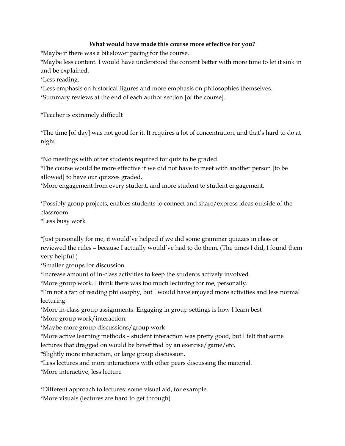## What would have made this course more effective for you?

\*Maybe if there was a bit slower pacing for the course.

\*Maybe less content. I would have understood the content better with more time to let it sink in and be explained.

\*Less reading.

\*Less emphasis on historical figures and more emphasis on philosophies themselves.

\*Summary reviews at the end of each author section [of the course].

\*Teacher is extremely difficult

\*The time [of day] was not good for it. It requires a lot of concentration, and that's hard to do at night.

\*No meetings with other students required for quiz to be graded.

\*The course would be more effective if we did not have to meet with another person [to be allowed] to have our quizzes graded.

\*More engagement from every student, and more student to student engagement.

\*Possibly group projects, enables students to connect and share/express ideas outside of the classroom

\*Less busy work

\*Just personally for me, it would've helped if we did some grammar quizzes in class or reviewed the rules – because I actually would've had to do them. (The times I did, I found them very helpful.)

\*Smaller groups for discussion

\*Increase amount of in-class activities to keep the students actively involved.

\*More group work. I think there was too much lecturing for me, personally.

\*I'm not a fan of reading philosophy, but I would have enjoyed more activities and less normal lecturing.

\*More in-class group assignments. Engaging in group settings is how I learn best

\*More group work/interaction.

\*Maybe more group discussions/group work

\*More active learning methods – student interaction was pretty good, but I felt that some lectures that dragged on would be benefitted by an exercise/game/etc.

\*Slightly more interaction, or large group discussion.

\*Less lectures and more interactions with other peers discussing the material.

\*More interactive, less lecture

\*Different approach to lectures: some visual aid, for example.

\*More visuals (lectures are hard to get through)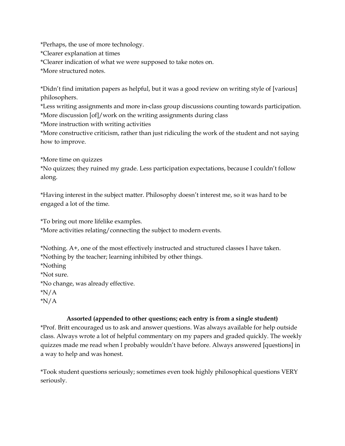\*Perhaps, the use of more technology. \*Clearer explanation at times \*Clearer indication of what we were supposed to take notes on. \*More structured notes.

\*Didn't find imitation papers as helpful, but it was a good review on writing style of [various] philosophers.

\*Less writing assignments and more in-class group discussions counting towards participation. \*More discussion [of]/work on the writing assignments during class

\*More instruction with writing activities

\*More constructive criticism, rather than just ridiculing the work of the student and not saying how to improve.

\*More time on quizzes

\*No quizzes; they ruined my grade. Less participation expectations, because I couldn't follow along.

\*Having interest in the subject matter. Philosophy doesn't interest me, so it was hard to be engaged a lot of the time.

\*To bring out more lifelike examples.

\*More activities relating/connecting the subject to modern events.

\*Nothing. A+, one of the most effectively instructed and structured classes I have taken. \*Nothing by the teacher; learning inhibited by other things. \*Nothing \*Not sure. \*No change, was already effective. \*N/A

\*N/A

## Assorted (appended to other questions; each entry is from a single student)

\*Prof. Britt encouraged us to ask and answer questions. Was always available for help outside class. Always wrote a lot of helpful commentary on my papers and graded quickly. The weekly quizzes made me read when I probably wouldn't have before. Always answered [questions] in a way to help and was honest.

\*Took student questions seriously; sometimes even took highly philosophical questions VERY seriously.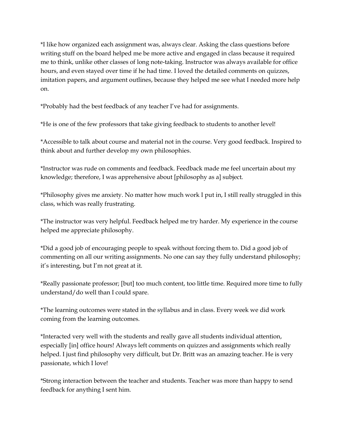\*I like how organized each assignment was, always clear. Asking the class questions before writing stuff on the board helped me be more active and engaged in class because it required me to think, unlike other classes of long note-taking. Instructor was always available for office hours, and even stayed over time if he had time. I loved the detailed comments on quizzes, imitation papers, and argument outlines, because they helped me see what I needed more help on.

\*Probably had the best feedback of any teacher I've had for assignments.

\*He is one of the few professors that take giving feedback to students to another level!

\*Accessible to talk about course and material not in the course. Very good feedback. Inspired to think about and further develop my own philosophies.

\*Instructor was rude on comments and feedback. Feedback made me feel uncertain about my knowledge; therefore, I was apprehensive about [philosophy as a] subject.

\*Philosophy gives me anxiety. No matter how much work I put in, I still really struggled in this class, which was really frustrating.

\*The instructor was very helpful. Feedback helped me try harder. My experience in the course helped me appreciate philosophy.

\*Did a good job of encouraging people to speak without forcing them to. Did a good job of commenting on all our writing assignments. No one can say they fully understand philosophy; it's interesting, but I'm not great at it.

\*Really passionate professor; [but] too much content, too little time. Required more time to fully understand/do well than I could spare.

\*The learning outcomes were stated in the syllabus and in class. Every week we did work coming from the learning outcomes.

\*Interacted very well with the students and really gave all students individual attention, especially [in] office hours! Always left comments on quizzes and assignments which really helped. I just find philosophy very difficult, but Dr. Britt was an amazing teacher. He is very passionate, which I love!

\*Strong interaction between the teacher and students. Teacher was more than happy to send feedback for anything I sent him.